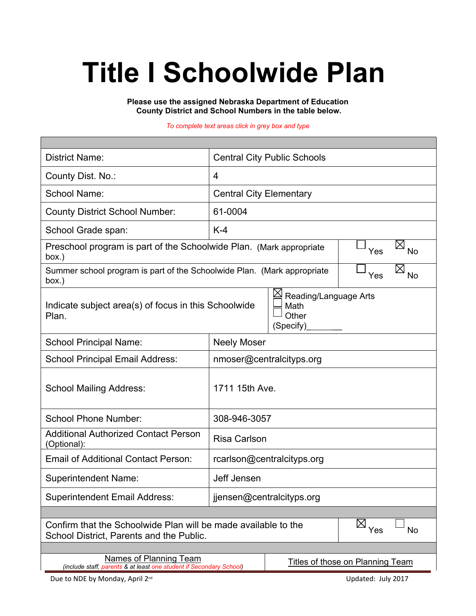# **Title I Schoolwide Plan**

**Please use the assigned Nebraska Department of Education County District and School Numbers in the table below.**

*To complete text areas click in grey box and type*

| <b>District Name:</b>                                                                                      | <b>Central City Public Schools</b>                  |  |  |  |  |  |  |
|------------------------------------------------------------------------------------------------------------|-----------------------------------------------------|--|--|--|--|--|--|
| County Dist. No.:                                                                                          | 4                                                   |  |  |  |  |  |  |
| School Name:                                                                                               | <b>Central City Elementary</b>                      |  |  |  |  |  |  |
| <b>County District School Number:</b>                                                                      | 61-0004                                             |  |  |  |  |  |  |
| School Grade span:                                                                                         | $K-4$                                               |  |  |  |  |  |  |
| Preschool program is part of the Schoolwide Plan. (Mark appropriate<br>box.)                               | $\boxtimes$<br>Yes<br><b>No</b>                     |  |  |  |  |  |  |
| Summer school program is part of the Schoolwide Plan. (Mark appropriate<br>box.)                           | $\boxtimes$<br>Yes<br><b>No</b>                     |  |  |  |  |  |  |
| Indicate subject area(s) of focus in this Schoolwide<br>Plan.                                              | Reading/Language Arts<br>Math<br>Other<br>(Specify) |  |  |  |  |  |  |
| <b>School Principal Name:</b>                                                                              | <b>Neely Moser</b>                                  |  |  |  |  |  |  |
| <b>School Principal Email Address:</b>                                                                     | nmoser@centralcityps.org                            |  |  |  |  |  |  |
| <b>School Mailing Address:</b>                                                                             | 1711 15th Ave.                                      |  |  |  |  |  |  |
| <b>School Phone Number:</b>                                                                                | 308-946-3057                                        |  |  |  |  |  |  |
| <b>Additional Authorized Contact Person</b><br>(Optional):                                                 | <b>Risa Carlson</b>                                 |  |  |  |  |  |  |
| <b>Email of Additional Contact Person:</b>                                                                 | rcarlson@centralcityps.org                          |  |  |  |  |  |  |
| <b>Superintendent Name:</b>                                                                                | Jeff Jensen                                         |  |  |  |  |  |  |
| <b>Superintendent Email Address:</b>                                                                       | jjensen@centralcityps.org                           |  |  |  |  |  |  |
|                                                                                                            |                                                     |  |  |  |  |  |  |
| Confirm that the Schoolwide Plan will be made available to the<br>School District, Parents and the Public. | $\boxtimes$<br>Yes<br><b>No</b>                     |  |  |  |  |  |  |
| Names of Planning Team                                                                                     |                                                     |  |  |  |  |  |  |
| (include staff, parents & at least one student if Secondary School)                                        | Titles of those on Planning Team                    |  |  |  |  |  |  |
| Due to NDE by Monday, April 2 <sup>nd</sup>                                                                | Updated: July 2017                                  |  |  |  |  |  |  |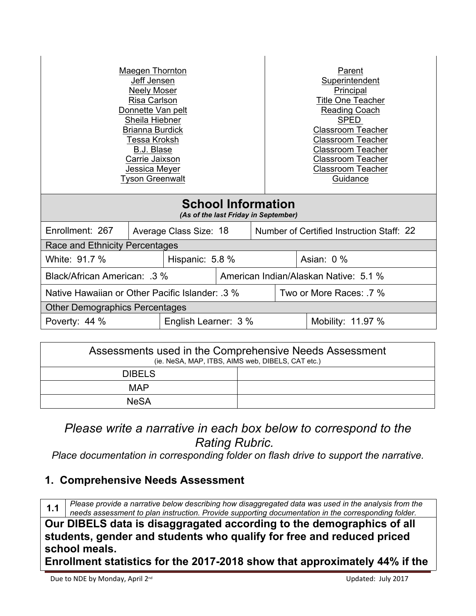| <b>Maegen Thornton</b><br>Jeff Jensen<br><b>Neely Moser</b><br>Risa Carlson<br>Donnette Van pelt<br>Sheila Hiebner<br><b>Brianna Burdick</b><br>Tessa Kroksh<br>B.J. Blase<br>Carrie Jaixson<br>Jessica Meyer<br><b>Tyson Greenwalt</b> |                        |  |  |                                           | Parent<br>Superintendent<br>Principal<br>Title One Teacher<br>Reading Coach<br><b>SPED</b><br><b>Classroom Teacher</b><br><b>Classroom Teacher</b><br><b>Classroom Teacher</b><br><b>Classroom Teacher</b><br><b>Classroom Teacher</b><br>Guidance |  |  |
|-----------------------------------------------------------------------------------------------------------------------------------------------------------------------------------------------------------------------------------------|------------------------|--|--|-------------------------------------------|----------------------------------------------------------------------------------------------------------------------------------------------------------------------------------------------------------------------------------------------------|--|--|
| <b>School Information</b><br>(As of the last Friday in September)                                                                                                                                                                       |                        |  |  |                                           |                                                                                                                                                                                                                                                    |  |  |
| Enrollment: 267                                                                                                                                                                                                                         | Average Class Size: 18 |  |  | Number of Certified Instruction Staff: 22 |                                                                                                                                                                                                                                                    |  |  |
| Race and Ethnicity Percentages                                                                                                                                                                                                          |                        |  |  |                                           |                                                                                                                                                                                                                                                    |  |  |
| White: 91.7 %<br>Hispanic: 5.8 %                                                                                                                                                                                                        |                        |  |  | Asian: 0 %                                |                                                                                                                                                                                                                                                    |  |  |
| Black/African American: .3 %                                                                                                                                                                                                            |                        |  |  | American Indian/Alaskan Native: 5.1 %     |                                                                                                                                                                                                                                                    |  |  |
| Native Hawaiian or Other Pacific Islander: 3 %                                                                                                                                                                                          |                        |  |  | Two or More Races: 7 %                    |                                                                                                                                                                                                                                                    |  |  |
| <b>Other Demographics Percentages</b>                                                                                                                                                                                                   |                        |  |  |                                           |                                                                                                                                                                                                                                                    |  |  |
| English Learner: 3 %<br>Poverty: 44 %                                                                                                                                                                                                   |                        |  |  | Mobility: 11.97 %                         |                                                                                                                                                                                                                                                    |  |  |

| Assessments used in the Comprehensive Needs Assessment<br>(ie. NeSA, MAP, ITBS, AIMS web, DIBELS, CAT etc.) |  |  |  |  |
|-------------------------------------------------------------------------------------------------------------|--|--|--|--|
| <b>DIBELS</b>                                                                                               |  |  |  |  |
| <b>MAP</b>                                                                                                  |  |  |  |  |
| <b>NeSA</b>                                                                                                 |  |  |  |  |

# *Please write a narrative in each box below to correspond to the Rating Rubric.*

*Place documentation in corresponding folder on flash drive to support the narrative.*

## **1. Comprehensive Needs Assessment**

**1.1** *Please provide a narrative below describing how disaggregated data was used in the analysis from the* **1.1** *noods accessment to the interior Provide awareting designed in the argument in the componential filter needs assessment to plan instruction. Provide supporting documentation in the corresponding folder.*

**Our DIBELS data is disaggragated according to the demographics of all students, gender and students who qualify for free and reduced priced school meals.** 

**Enrollment statistics for the 2017-2018 show that approximately 44% if the**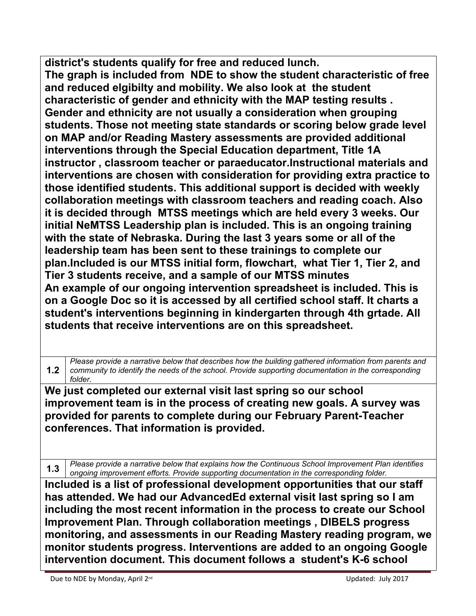**district's students qualify for free and reduced lunch. The graph is included from NDE to show the student characteristic of free and reduced elgibilty and mobility. We also look at the student characteristic of gender and ethnicity with the MAP testing results . Gender and ethnicity are not usually a consideration when grouping students. Those not meeting state standards or scoring below grade level on MAP and/or Reading Mastery assessments are provided additional interventions through the Special Education department, Title 1A instructor , classroom teacher or paraeducator.Instructional materials and interventions are chosen with consideration for providing extra practice to those identified students. This additional support is decided with weekly collaboration meetings with classroom teachers and reading coach. Also it is decided through MTSS meetings which are held every 3 weeks. Our initial NeMTSS Leadership plan is included. This is an ongoing training with the state of Nebraska. During the last 3 years some or all of the leadership team has been sent to these trainings to complete our plan.Included is our MTSS initial form, flowchart, what Tier 1, Tier 2, and Tier 3 students receive, and a sample of our MTSS minutes An example of our ongoing intervention spreadsheet is included. This is on a Google Doc so it is accessed by all certified school staff. It charts a student's interventions beginning in kindergarten through 4th grtade. All students that receive interventions are on this spreadsheet.** 

**1.2** *community to identify the needs of the school. Provide supporting documentation in the corresponding Please provide a narrative below that describes how the building gathered information from parents and folder.*

**We just completed our external visit last spring so our school improvement team is in the process of creating new goals. A survey was provided for parents to complete during our February Parent-Teacher conferences. That information is provided.**

**1.3** *Please provide a narrative below that explains how the Continuous School Improvement Plan identifies ongoing improvement efforts. Provide supporting documentation in the corresponding folder.*

**Included is a list of professional development opportunities that our staff has attended. We had our AdvancedEd external visit last spring so I am including the most recent information in the process to create our School Improvement Plan. Through collaboration meetings , DIBELS progress monitoring, and assessments in our Reading Mastery reading program, we monitor students progress. Interventions are added to an ongoing Google intervention document. This document follows a student's K-6 school** 

Due to NDE by Monday, April 2<sup>nd</sup> Updated: July 2017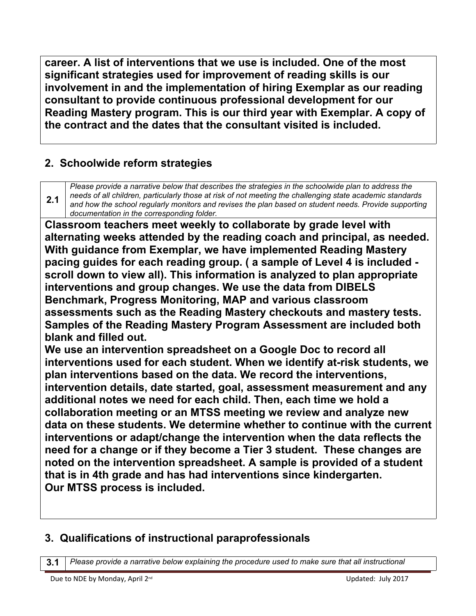**career. A list of interventions that we use is included. One of the most significant strategies used for improvement of reading skills is our involvement in and the implementation of hiring Exemplar as our reading consultant to provide continuous professional development for our Reading Mastery program. This is our third year with Exemplar. A copy of the contract and the dates that the consultant visited is included.** 

# **2. Schoolwide reform strategies**

**2.1** *and how the school regularly monitors and revises the plan based on student needs. Provide supporting Please provide a narrative below that describes the strategies in the schoolwide plan to address the needs of all children, particularly those at risk of not meeting the challenging state academic standards documentation in the corresponding folder.*

**Classroom teachers meet weekly to collaborate by grade level with alternating weeks attended by the reading coach and principal, as needed. With guidance from Exemplar, we have implemented Reading Mastery pacing guides for each reading group. ( a sample of Level 4 is included scroll down to view all). This information is analyzed to plan appropriate interventions and group changes. We use the data from DIBELS Benchmark, Progress Monitoring, MAP and various classroom assessments such as the Reading Mastery checkouts and mastery tests. Samples of the Reading Mastery Program Assessment are included both blank and filled out.** 

**We use an intervention spreadsheet on a Google Doc to record all interventions used for each student. When we identify at-risk students, we plan interventions based on the data. We record the interventions, intervention details, date started, goal, assessment measurement and any additional notes we need for each child. Then, each time we hold a collaboration meeting or an MTSS meeting we review and analyze new data on these students. We determine whether to continue with the current interventions or adapt/change the intervention when the data reflects the need for a change or if they become a Tier 3 student. These changes are noted on the intervention spreadsheet. A sample is provided of a student that is in 4th grade and has had interventions since kindergarten. Our MTSS process is included.** 

## **3. Qualifications of instructional paraprofessionals**

**3.1** *Please provide a narrative below explaining the procedure used to make sure that all instructional*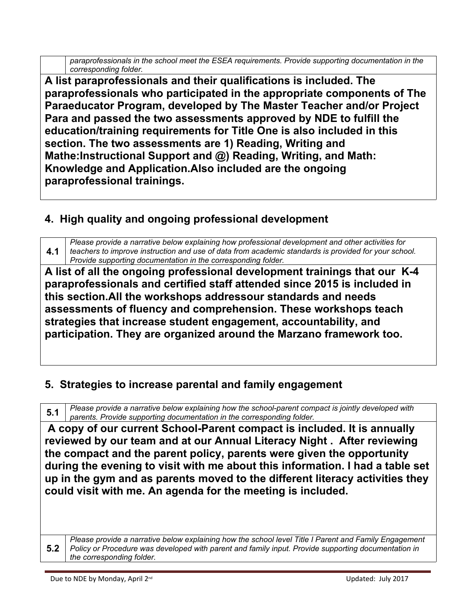*paraprofessionals in the school meet the ESEA requirements. Provide supporting documentation in the corresponding folder.*

**A list paraprofessionals and their qualifications is included. The paraprofessionals who participated in the appropriate components of The Paraeducator Program, developed by The Master Teacher and/or Project Para and passed the two assessments approved by NDE to fulfill the education/training requirements for Title One is also included in this section. The two assessments are 1) Reading, Writing and Mathe:Instructional Support and @) Reading, Writing, and Math: Knowledge and Application.Also included are the ongoing paraprofessional trainings.**

# **4. High quality and ongoing professional development**

**4.1** *teachers to improve instruction and use of data from academic standards is provided for your school. Please provide a narrative below explaining how professional development and other activities for Provide supporting documentation in the corresponding folder.*

**A list of all the ongoing professional development trainings that our K-4 paraprofessionals and certified staff attended since 2015 is included in this section.All the workshops addressour standards and needs assessments of fluency and comprehension. These workshops teach strategies that increase student engagement, accountability, and participation. They are organized around the Marzano framework too.** 

# **5. Strategies to increase parental and family engagement**

**5.1** *Please provide a narrative below explaining how the school-parent compact is jointly developed with parents. Provide supporting documentation in the corresponding folder.*

 **A copy of our current School-Parent compact is included. It is annually reviewed by our team and at our Annual Literacy Night . After reviewing the compact and the parent policy, parents were given the opportunity during the evening to visit with me about this information. I had a table set up in the gym and as parents moved to the different literacy activities they could visit with me. An agenda for the meeting is included.**

**5.2** *Policy or Procedure was developed with parent and family input. Provide supporting documentation in Please provide a narrative below explaining how the school level Title I Parent and Family Engagement the corresponding folder.*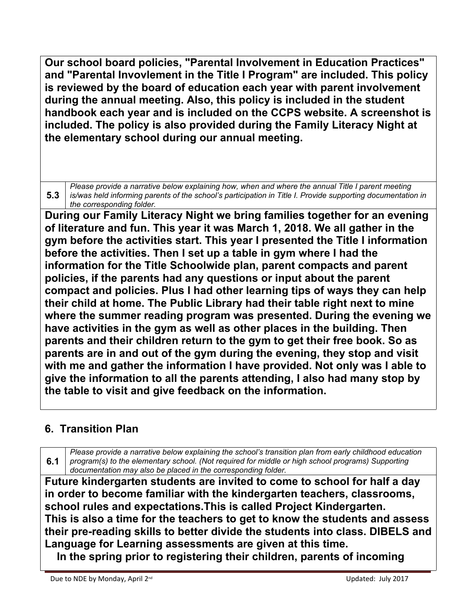**Our school board policies, "Parental Involvement in Education Practices" and "Parental Invovlement in the Title I Program" are included. This policy is reviewed by the board of education each year with parent involvement during the annual meeting. Also, this policy is included in the student handbook each year and is included on the CCPS website. A screenshot is included. The policy is also provided during the Family Literacy Night at the elementary school during our annual meeting.**

**5.3** *is/was held informing parents of the school's participation in Title I. Provide supporting documentation in Please provide a narrative below explaining how, when and where the annual Title I parent meeting the corresponding folder.*

**During our Family Literacy Night we bring families together for an evening of literature and fun. This year it was March 1, 2018. We all gather in the gym before the activities start. This year I presented the Title I information before the activities. Then I set up a table in gym where I had the information for the Title Schoolwide plan, parent compacts and parent policies, if the parents had any questions or input about the parent compact and policies. Plus I had other learning tips of ways they can help their child at home. The Public Library had their table right next to mine where the summer reading program was presented. During the evening we have activities in the gym as well as other places in the building. Then parents and their children return to the gym to get their free book. So as parents are in and out of the gym during the evening, they stop and visit with me and gather the information I have provided. Not only was I able to give the information to all the parents attending, I also had many stop by the table to visit and give feedback on the information.**

# **6. Transition Plan**

**6.1** *program(s) to the elementary school. (Not required for middle or high school programs) Supporting Please provide a narrative below explaining the school's transition plan from early childhood education documentation may also be placed in the corresponding folder.*

**Future kindergarten students are invited to come to school for half a day in order to become familiar with the kindergarten teachers, classrooms, school rules and expectations.This is called Project Kindergarten. This is also a time for the teachers to get to know the students and assess their pre-reading skills to better divide the students into class. DIBELS and Language for Learning assessments are given at this time.**

 **In the spring prior to registering their children, parents of incoming**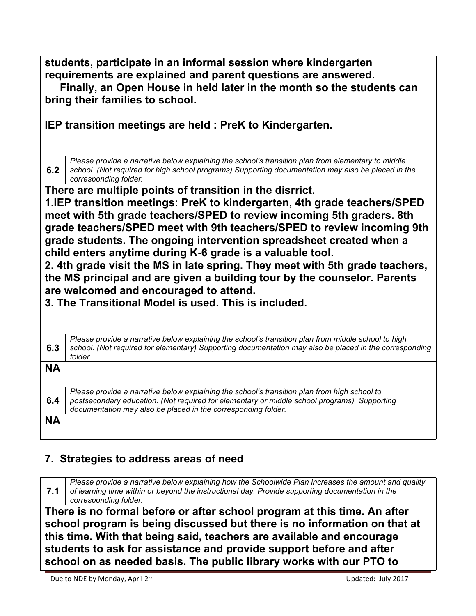**students, participate in an informal session where kindergarten requirements are explained and parent questions are answered. Finally, an Open House in held later in the month so the students can** 

**bring their families to school.**

**IEP transition meetings are held : PreK to Kindergarten.** 

**6.2**  $\,$  school. (Not required for high school programs) Supporting documentation may also be placed in the  $\,$ *Please provide a narrative below explaining the school's transition plan from elementary to middle corresponding folder.*

**There are multiple points of transition in the disrrict.**

**1.IEP transition meetings: PreK to kindergarten, 4th grade teachers/SPED meet with 5th grade teachers/SPED to review incoming 5th graders. 8th grade teachers/SPED meet with 9th teachers/SPED to review incoming 9th grade students. The ongoing intervention spreadsheet created when a child enters anytime during K-6 grade is a valuable tool.**

**2. 4th grade visit the MS in late spring. They meet with 5th grade teachers, the MS principal and are given a building tour by the counselor. Parents are welcomed and encouraged to attend.**

**3. The Transitional Model is used. This is included.**

| 6.3 | Please provide a narrative below explaining the school's transition plan from middle school to high<br>school. (Not required for elementary) Supporting documentation may also be placed in the corresponding<br>folder.                                     |
|-----|--------------------------------------------------------------------------------------------------------------------------------------------------------------------------------------------------------------------------------------------------------------|
| NΑ  |                                                                                                                                                                                                                                                              |
| 6.4 | Please provide a narrative below explaining the school's transition plan from high school to<br>postsecondary education. (Not required for elementary or middle school programs) Supporting<br>documentation may also be placed in the corresponding folder. |
| NΑ  |                                                                                                                                                                                                                                                              |

## **7. Strategies to address areas of need**

**7.1** *of learning time within or beyond the instructional day. Provide supporting documentation in the Please provide a narrative below explaining how the Schoolwide Plan increases the amount and quality corresponding folder.*

**There is no formal before or after school program at this time. An after school program is being discussed but there is no information on that at this time. With that being said, teachers are available and encourage students to ask for assistance and provide support before and after school on as needed basis. The public library works with our PTO to**